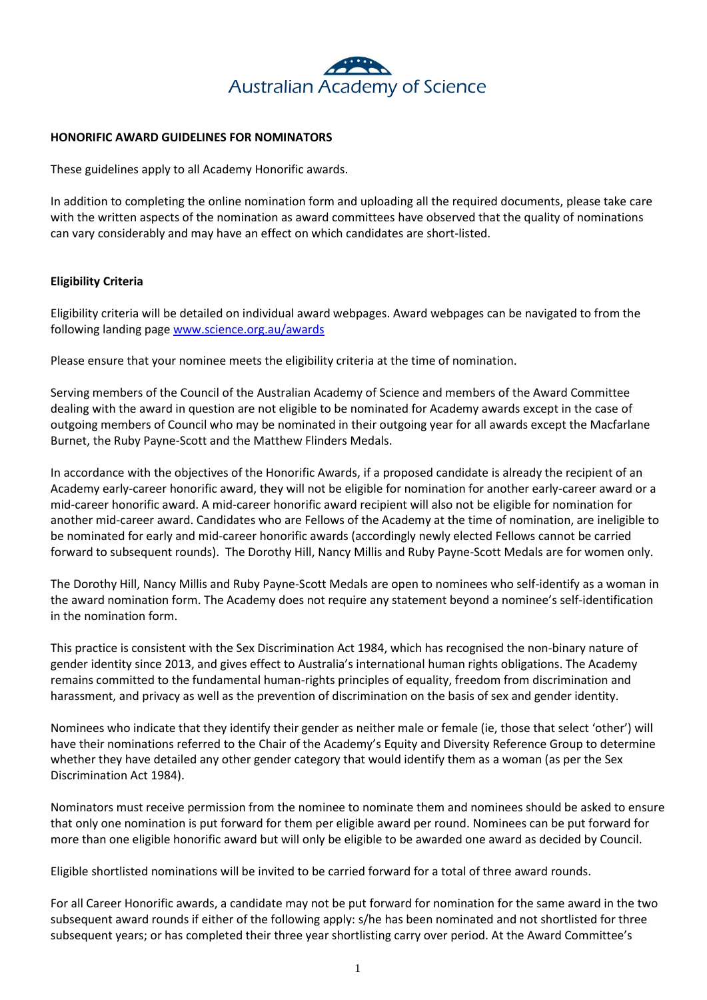

#### **HONORIFIC AWARD GUIDELINES FOR NOMINATORS**

These guidelines apply to all Academy Honorific awards.

In addition to completing the online nomination form and uploading all the required documents, please take care with the written aspects of the nomination as award committees have observed that the quality of nominations can vary considerably and may have an effect on which candidates are short-listed.

# **Eligibility Criteria**

Eligibility criteria will be detailed on individual award webpages. Award webpages can be navigated to from the following landing page [www.science.org.au/awards](http://www.science.org.au/awards)

Please ensure that your nominee meets the eligibility criteria at the time of nomination.

Serving members of the Council of the Australian Academy of Science and members of the Award Committee dealing with the award in question are not eligible to be nominated for Academy awards except in the case of outgoing members of Council who may be nominated in their outgoing year for all awards except the Macfarlane Burnet, the Ruby Payne-Scott and the Matthew Flinders Medals.

In accordance with the objectives of the Honorific Awards, if a proposed candidate is already the recipient of an Academy early-career honorific award, they will not be eligible for nomination for another early-career award or a mid-career honorific award. A mid-career honorific award recipient will also not be eligible for nomination for another mid-career award. Candidates who are Fellows of the Academy at the time of nomination, are ineligible to be nominated for early and mid-career honorific awards (accordingly newly elected Fellows cannot be carried forward to subsequent rounds). The Dorothy Hill, Nancy Millis and Ruby Payne-Scott Medals are for women only.

The Dorothy Hill, Nancy Millis and Ruby Payne-Scott Medals are open to nominees who self-identify as a woman in the award nomination form. The Academy does not require any statement beyond a nominee's self-identification in the nomination form.

This practice is consistent with the [Sex Discrimination Act 1984,](https://www.humanrights.gov.au/about/legislation/index.html#sda) which has recognised the non-binary nature of gender identity since 2013, and gives effect to Australia's international human rights obligations. The Academy remains committed to the fundamental human-rights principles of equality, freedom from discrimination and harassment, and privacy as well as the prevention of discrimination on the basis of sex and gender identity.

Nominees who indicate that they identify their gender as neither male or female (ie, those that select 'other') will have their nominations referred to the Chair of the Academy's Equity and Diversity Reference Group to determine whether they have detailed any other gender category that would identify them as a woman (as per the Sex Discrimination Act 1984).

Nominators must receive permission from the nominee to nominate them and nominees should be asked to ensure that only one nomination is put forward for them per eligible award per round. Nominees can be put forward for more than one eligible honorific award but will only be eligible to be awarded one award as decided by Council.

Eligible shortlisted nominations will be invited to be carried forward for a total of three award rounds.

For all Career Honorific awards, a candidate may not be put forward for nomination for the same award in the two subsequent award rounds if either of the following apply: s/he has been nominated and not shortlisted for three subsequent years; or has completed their three year shortlisting carry over period. At the Award Committee's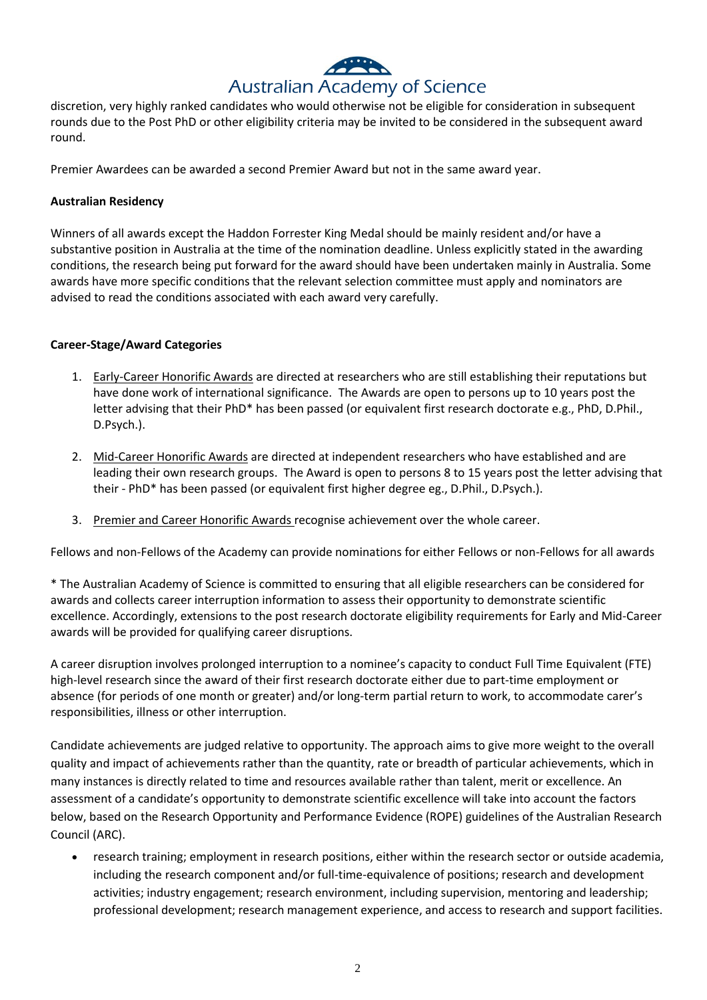# Australian Academy of Science

discretion, very highly ranked candidates who would otherwise not be eligible for consideration in subsequent rounds due to the Post PhD or other eligibility criteria may be invited to be considered in the subsequent award round.

Premier Awardees can be awarded a second Premier Award but not in the same award year.

#### **Australian Residency**

Winners of all awards except the Haddon Forrester King Medal should be mainly resident and/or have a substantive position in Australia at the time of the nomination deadline. Unless explicitly stated in the awarding conditions, the research being put forward for the award should have been undertaken mainly in Australia. Some awards have more specific conditions that the relevant selection committee must apply and nominators are advised to read the conditions associated with each award very carefully.

#### **Career-Stage/Award Categories**

- 1. Early-Career Honorific Awards are directed at researchers who are still establishing their reputations but have done work of international significance. The Awards are open to persons up to 10 years post the letter advising that their PhD\* has been passed (or equivalent first research doctorate e.g., PhD, D.Phil., D.Psych.).
- 2. Mid-Career Honorific Awards are directed at independent researchers who have established and are leading their own research groups. The Award is open to persons 8 to 15 years post the letter advising that their - PhD\* has been passed (or equivalent first higher degree eg., D.Phil., D.Psych.).
- 3. Premier and Career Honorific Awards recognise achievement over the whole career.

Fellows and non-Fellows of the Academy can provide nominations for either Fellows or non-Fellows for all awards

\* The Australian Academy of Science is committed to ensuring that all eligible researchers can be considered for awards and collects career interruption information to assess their opportunity to demonstrate scientific excellence. Accordingly, extensions to the post research doctorate eligibility requirements for Early and Mid-Career awards will be provided for qualifying career disruptions.

A career disruption involves prolonged interruption to a nominee's capacity to conduct Full Time Equivalent (FTE) high-level research since the award of their first research doctorate either due to part-time employment or absence (for periods of one month or greater) and/or long-term partial return to work, to accommodate carer's responsibilities, illness or other interruption.

Candidate achievements are judged relative to opportunity. The approach aims to give more weight to the overall quality and impact of achievements rather than the quantity, rate or breadth of particular achievements, which in many instances is directly related to time and resources available rather than talent, merit or excellence. An assessment of a candidate's opportunity to demonstrate scientific excellence will take into account the factors below, based on the Research Opportunity and Performance Evidence (ROPE) guidelines of the Australian Research Council (ARC).

• research training; employment in research positions, either within the research sector or outside academia, including the research component and/or full-time-equivalence of positions; research and development activities; industry engagement; research environment, including supervision, mentoring and leadership; professional development; research management experience, and access to research and support facilities.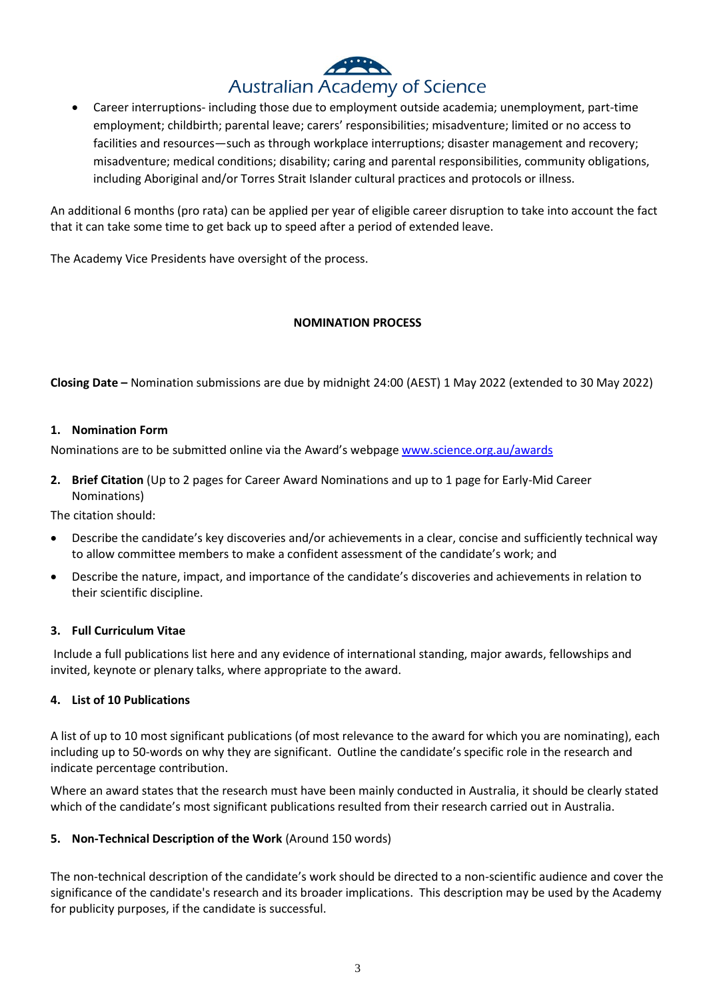# Australian Academy of Science

• Career interruptions- including those due to employment outside academia; unemployment, part-time employment; childbirth; parental leave; carers' responsibilities; misadventure; limited or no access to facilities and resources—such as through workplace interruptions; disaster management and recovery; misadventure; medical conditions; disability; caring and parental responsibilities, community obligations, including Aboriginal and/or Torres Strait Islander cultural practices and protocols or illness.

An additional 6 months (pro rata) can be applied per year of eligible career disruption to take into account the fact that it can take some time to get back up to speed after a period of extended leave.

The Academy Vice Presidents have oversight of the process.

# **NOMINATION PROCESS**

**Closing Date –** Nomination submissions are due by midnight 24:00 (AEST) 1 May 2022 (extended to 30 May 2022)

#### **1. Nomination Form**

Nominations are to be submitted online via the Award's webpage [www.science.org.au/awards](http://www.science.org.au/awards)

**2. Brief Citation** (Up to 2 pages for Career Award Nominations and up to 1 page for Early-Mid Career Nominations)

The citation should:

- Describe the candidate's key discoveries and/or achievements in a clear, concise and sufficiently technical way to allow committee members to make a confident assessment of the candidate's work; and
- Describe the nature, impact, and importance of the candidate's discoveries and achievements in relation to their scientific discipline.

# **3. Full Curriculum Vitae**

Include a full publications list here and any evidence of international standing, major awards, fellowships and invited, keynote or plenary talks, where appropriate to the award.

#### **4. List of 10 Publications**

A list of up to 10 most significant publications (of most relevance to the award for which you are nominating), each including up to 50-words on why they are significant. Outline the candidate's specific role in the research and indicate percentage contribution.

Where an award states that the research must have been mainly conducted in Australia, it should be clearly stated which of the candidate's most significant publications resulted from their research carried out in Australia.

#### **5. Non-Technical Description of the Work** (Around 150 words)

The non-technical description of the candidate's work should be directed to a non-scientific audience and cover the significance of the candidate's research and its broader implications. This description may be used by the Academy for publicity purposes, if the candidate is successful.